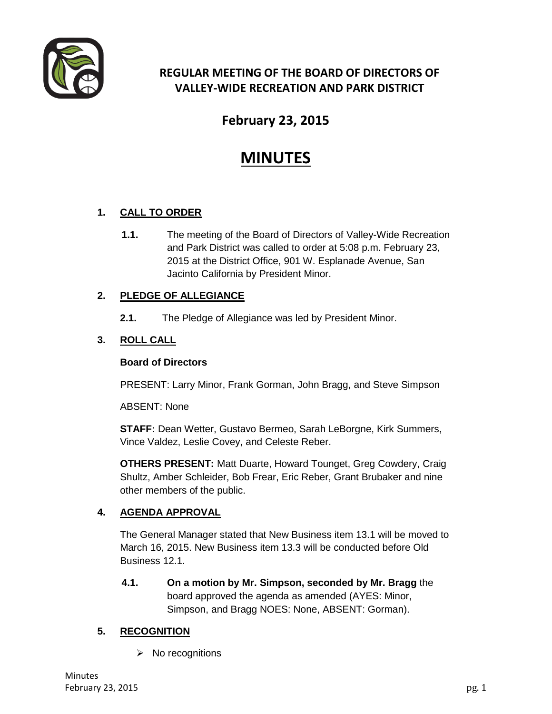

# **REGULAR MEETING OF THE BOARD OF DIRECTORS OF VALLEY-WIDE RECREATION AND PARK DISTRICT**

# **February 23, 2015**

# **MINUTES**

## **1. CALL TO ORDER**

**1.1.** The meeting of the Board of Directors of Valley-Wide Recreation and Park District was called to order at 5:08 p.m. February 23, 2015 at the District Office, 901 W. Esplanade Avenue, San Jacinto California by President Minor.

#### **2. PLEDGE OF ALLEGIANCE**

**2.1.** The Pledge of Allegiance was led by President Minor.

### **3. ROLL CALL**

#### **Board of Directors**

PRESENT: Larry Minor, Frank Gorman, John Bragg, and Steve Simpson

ABSENT: None

**STAFF:** Dean Wetter, Gustavo Bermeo, Sarah LeBorgne, Kirk Summers, Vince Valdez, Leslie Covey, and Celeste Reber.

**OTHERS PRESENT:** Matt Duarte, Howard Tounget, Greg Cowdery, Craig Shultz, Amber Schleider, Bob Frear, Eric Reber, Grant Brubaker and nine other members of the public.

#### **4. AGENDA APPROVAL**

The General Manager stated that New Business item 13.1 will be moved to March 16, 2015. New Business item 13.3 will be conducted before Old Business 12.1.

**4.1. On a motion by Mr. Simpson, seconded by Mr. Bragg** the board approved the agenda as amended (AYES: Minor, Simpson, and Bragg NOES: None, ABSENT: Gorman).

### **5. RECOGNITION**

 $\triangleright$  No recognitions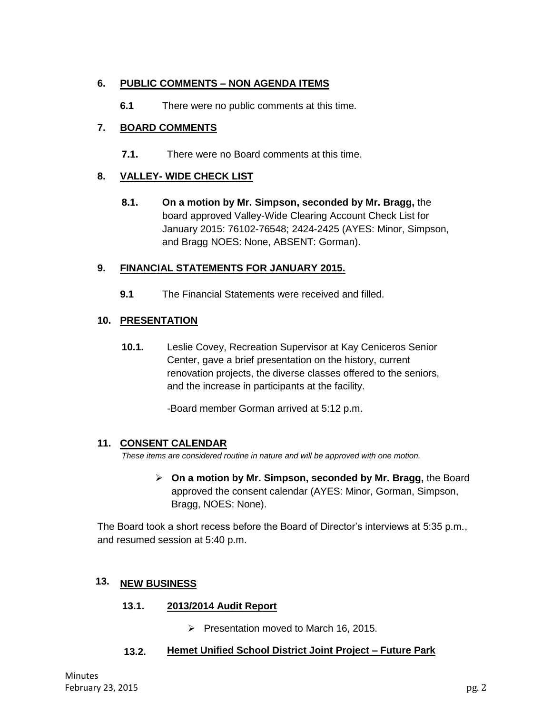#### **6. PUBLIC COMMENTS – NON AGENDA ITEMS**

**6.1** There were no public comments at this time.

#### **7. BOARD COMMENTS**

**7.1.** There were no Board comments at this time.

#### **8. VALLEY- WIDE CHECK LIST**

**8.1. On a motion by Mr. Simpson, seconded by Mr. Bragg,** the board approved Valley-Wide Clearing Account Check List for January 2015: 76102-76548; 2424-2425 (AYES: Minor, Simpson, and Bragg NOES: None, ABSENT: Gorman).

#### **9. FINANCIAL STATEMENTS FOR JANUARY 2015.**

**9.1** The Financial Statements were received and filled.

#### **10. PRESENTATION**

**10.1.** Leslie Covey, Recreation Supervisor at Kay Ceniceros Senior Center, gave a brief presentation on the history, current renovation projects, the diverse classes offered to the seniors, and the increase in participants at the facility.

-Board member Gorman arrived at 5:12 p.m.

#### **11. CONSENT CALENDAR**

*These items are considered routine in nature and will be approved with one motion.* 

 **On a motion by Mr. Simpson, seconded by Mr. Bragg,** the Board approved the consent calendar (AYES: Minor, Gorman, Simpson, Bragg, NOES: None).

The Board took a short recess before the Board of Director's interviews at 5:35 p.m., and resumed session at 5:40 p.m.

#### **12. NEW BUSINESS 13.**

- **12.1. 2013/2014 Audit Report 13.1.**
	- $\triangleright$  Presentation moved to March 16, 2015.

#### **12.2. Hemet Unified School District Joint Project – Future Park 13.2.**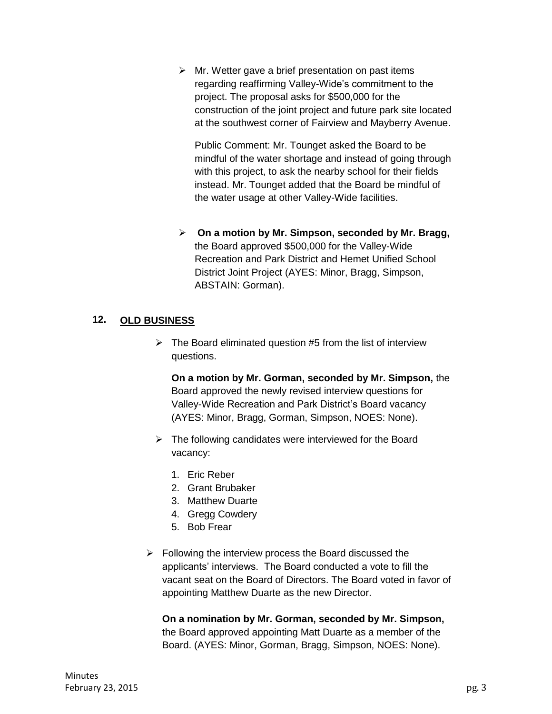$\triangleright$  Mr. Wetter gave a brief presentation on past items regarding reaffirming Valley-Wide's commitment to the project. The proposal asks for \$500,000 for the construction of the joint project and future park site located at the southwest corner of Fairview and Mayberry Avenue.

Public Comment: Mr. Tounget asked the Board to be mindful of the water shortage and instead of going through with this project, to ask the nearby school for their fields instead. Mr. Tounget added that the Board be mindful of the water usage at other Valley-Wide facilities.

 **On a motion by Mr. Simpson, seconded by Mr. Bragg,**  the Board approved \$500,000 for the Valley-Wide Recreation and Park District and Hemet Unified School District Joint Project (AYES: Minor, Bragg, Simpson, ABSTAIN: Gorman).

#### **13. OLD BUSINESS 12.**

 $\triangleright$  The Board eliminated question #5 from the list of interview questions.

**On a motion by Mr. Gorman, seconded by Mr. Simpson,** the Board approved the newly revised interview questions for Valley-Wide Recreation and Park District's Board vacancy (AYES: Minor, Bragg, Gorman, Simpson, NOES: None).

- $\triangleright$  The following candidates were interviewed for the Board vacancy:
	- 1. Eric Reber
	- 2. Grant Brubaker
	- 3. Matthew Duarte
	- 4. Gregg Cowdery
	- 5. Bob Frear
- $\triangleright$  Following the interview process the Board discussed the applicants' interviews. The Board conducted a vote to fill the vacant seat on the Board of Directors. The Board voted in favor of appointing Matthew Duarte as the new Director.

**On a nomination by Mr. Gorman, seconded by Mr. Simpson,**  the Board approved appointing Matt Duarte as a member of the Board. (AYES: Minor, Gorman, Bragg, Simpson, NOES: None).